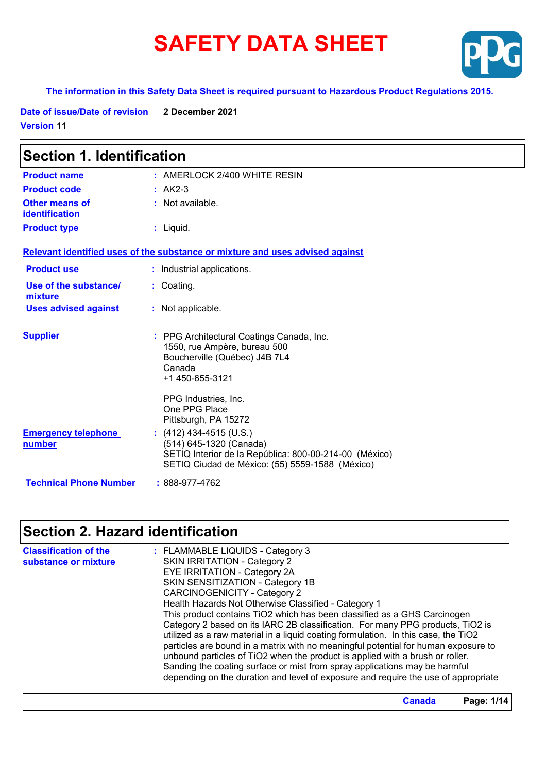# **SAFETY DATA SHEET**



#### **The information in this Safety Data Sheet is required pursuant to Hazardous Product Regulations 2015.**

**Date of issue/Date of revision 2 December 2021 Version 11**

| <b>Section 1. Identification</b>               |                                                                                                                                                                 |  |
|------------------------------------------------|-----------------------------------------------------------------------------------------------------------------------------------------------------------------|--|
| <b>Product name</b>                            | $:$ AMERLOCK 2/400 WHITE RESIN                                                                                                                                  |  |
| <b>Product code</b>                            | $: AK2-3$                                                                                                                                                       |  |
| <b>Other means of</b><br><b>identification</b> | : Not available.                                                                                                                                                |  |
| <b>Product type</b>                            | $:$ Liquid.                                                                                                                                                     |  |
|                                                | Relevant identified uses of the substance or mixture and uses advised against                                                                                   |  |
| <b>Product use</b>                             | : Industrial applications.                                                                                                                                      |  |
| Use of the substance/<br>mixture               | : Coating.                                                                                                                                                      |  |
| <b>Uses advised against</b>                    | : Not applicable.                                                                                                                                               |  |
| <b>Supplier</b>                                | : PPG Architectural Coatings Canada, Inc.<br>1550, rue Ampère, bureau 500<br>Boucherville (Québec) J4B 7L4<br>Canada<br>+1 450-655-3121<br>PPG Industries, Inc. |  |
|                                                | One PPG Place<br>Pittsburgh, PA 15272                                                                                                                           |  |
| <b>Emergency telephone</b><br><b>number</b>    | $(412)$ 434-4515 (U.S.)<br>(514) 645-1320 (Canada)<br>SETIQ Interior de la República: 800-00-214-00 (México)<br>SETIQ Ciudad de México: (55) 5559-1588 (México) |  |
| <b>Technical Phone Number</b>                  | : 888-977-4762                                                                                                                                                  |  |

## **Section 2. Hazard identification**

| <b>Classification of the</b><br>substance or mixture | : FLAMMABLE LIQUIDS - Category 3<br><b>SKIN IRRITATION - Category 2</b><br>EYE IRRITATION - Category 2A<br>SKIN SENSITIZATION - Category 1B<br>CARCINOGENICITY - Category 2<br>Health Hazards Not Otherwise Classified - Category 1<br>This product contains TiO2 which has been classified as a GHS Carcinogen<br>Category 2 based on its IARC 2B classification. For many PPG products, TiO2 is<br>utilized as a raw material in a liquid coating formulation. In this case, the TiO2<br>particles are bound in a matrix with no meaningful potential for human exposure to<br>unbound particles of TiO2 when the product is applied with a brush or roller.<br>Sanding the coating surface or mist from spray applications may be harmful |
|------------------------------------------------------|----------------------------------------------------------------------------------------------------------------------------------------------------------------------------------------------------------------------------------------------------------------------------------------------------------------------------------------------------------------------------------------------------------------------------------------------------------------------------------------------------------------------------------------------------------------------------------------------------------------------------------------------------------------------------------------------------------------------------------------------|
|                                                      | depending on the duration and level of exposure and require the use of appropriate                                                                                                                                                                                                                                                                                                                                                                                                                                                                                                                                                                                                                                                           |

**Canada Page: 1/14**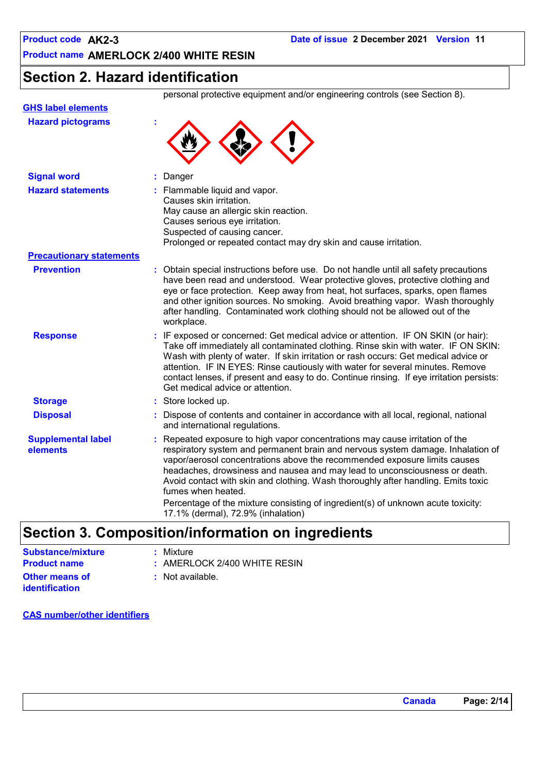### **Section 2. Hazard identification**

personal protective equipment and/or engineering controls (see Section 8).

| <b>Hazard pictograms</b>              |                                                                                                                                                                                                                                                                                                                                                                                                                                                                                                                                                               |
|---------------------------------------|---------------------------------------------------------------------------------------------------------------------------------------------------------------------------------------------------------------------------------------------------------------------------------------------------------------------------------------------------------------------------------------------------------------------------------------------------------------------------------------------------------------------------------------------------------------|
| <b>Signal word</b>                    | Danger                                                                                                                                                                                                                                                                                                                                                                                                                                                                                                                                                        |
| <b>Hazard statements</b>              | : Flammable liquid and vapor.<br>Causes skin irritation.<br>May cause an allergic skin reaction.<br>Causes serious eye irritation.<br>Suspected of causing cancer.<br>Prolonged or repeated contact may dry skin and cause irritation.                                                                                                                                                                                                                                                                                                                        |
| <b>Precautionary statements</b>       |                                                                                                                                                                                                                                                                                                                                                                                                                                                                                                                                                               |
| <b>Prevention</b>                     | : Obtain special instructions before use. Do not handle until all safety precautions<br>have been read and understood. Wear protective gloves, protective clothing and<br>eye or face protection. Keep away from heat, hot surfaces, sparks, open flames<br>and other ignition sources. No smoking. Avoid breathing vapor. Wash thoroughly<br>after handling. Contaminated work clothing should not be allowed out of the<br>workplace.                                                                                                                       |
| <b>Response</b>                       | : IF exposed or concerned: Get medical advice or attention. IF ON SKIN (or hair):<br>Take off immediately all contaminated clothing. Rinse skin with water. IF ON SKIN:<br>Wash with plenty of water. If skin irritation or rash occurs: Get medical advice or<br>attention. IF IN EYES: Rinse cautiously with water for several minutes. Remove<br>contact lenses, if present and easy to do. Continue rinsing. If eye irritation persists:<br>Get medical advice or attention.                                                                              |
| <b>Storage</b>                        | : Store locked up.                                                                                                                                                                                                                                                                                                                                                                                                                                                                                                                                            |
| <b>Disposal</b>                       | : Dispose of contents and container in accordance with all local, regional, national<br>and international regulations.                                                                                                                                                                                                                                                                                                                                                                                                                                        |
| <b>Supplemental label</b><br>elements | Repeated exposure to high vapor concentrations may cause irritation of the<br>respiratory system and permanent brain and nervous system damage. Inhalation of<br>vapor/aerosol concentrations above the recommended exposure limits causes<br>headaches, drowsiness and nausea and may lead to unconsciousness or death.<br>Avoid contact with skin and clothing. Wash thoroughly after handling. Emits toxic<br>fumes when heated.<br>Percentage of the mixture consisting of ingredient(s) of unknown acute toxicity:<br>17.1% (dermal), 72.9% (inhalation) |

### **Section 3. Composition/information on ingredients**

| <b>Substance/mixture</b>                | : Mixture                      |
|-----------------------------------------|--------------------------------|
| <b>Product name</b>                     | $:$ AMERLOCK 2/400 WHITE RESIN |
| <b>Other means of</b><br>identification | : Not available.               |

**CAS number/other identifiers**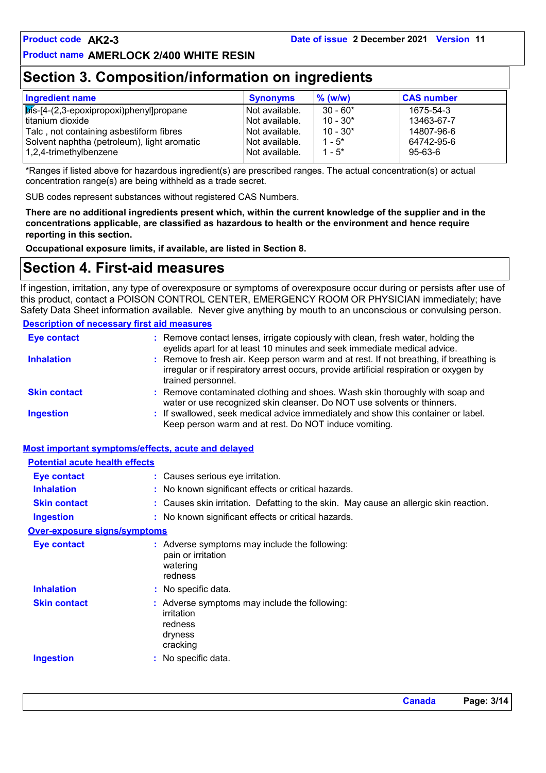### **Section 3. Composition/information on ingredients**

| <b>Ingredient name</b>                            | <b>Synonyms</b> | $%$ (w/w)  | <b>CAS number</b> |
|---------------------------------------------------|-----------------|------------|-------------------|
| $\sqrt{p}$ is-[4-(2,3-epoxipropoxi)phenyl]propane | Not available.  | $30 - 60*$ | 1675-54-3         |
| titanium dioxide                                  | Not available.  | $10 - 30*$ | 13463-67-7        |
| Talc, not containing asbestiform fibres           | Not available.  | $10 - 30*$ | 14807-96-6        |
| Solvent naphtha (petroleum), light aromatic       | Not available.  | $1 - 5^*$  | 64742-95-6        |
| 1,2,4-trimethylbenzene                            | Not available.  | $1 - 5^*$  | 95-63-6           |

\*Ranges if listed above for hazardous ingredient(s) are prescribed ranges. The actual concentration(s) or actual concentration range(s) are being withheld as a trade secret.

SUB codes represent substances without registered CAS Numbers.

**There are no additional ingredients present which, within the current knowledge of the supplier and in the concentrations applicable, are classified as hazardous to health or the environment and hence require reporting in this section.**

**Occupational exposure limits, if available, are listed in Section 8.**

### **Section 4. First-aid measures**

If ingestion, irritation, any type of overexposure or symptoms of overexposure occur during or persists after use of this product, contact a POISON CONTROL CENTER, EMERGENCY ROOM OR PHYSICIAN immediately; have Safety Data Sheet information available. Never give anything by mouth to an unconscious or convulsing person.

#### **Description of necessary first aid measures**

| <b>Eye contact</b>  | : Remove contact lenses, irrigate copiously with clean, fresh water, holding the<br>eyelids apart for at least 10 minutes and seek immediate medical advice.                                           |
|---------------------|--------------------------------------------------------------------------------------------------------------------------------------------------------------------------------------------------------|
| <b>Inhalation</b>   | : Remove to fresh air. Keep person warm and at rest. If not breathing, if breathing is<br>irregular or if respiratory arrest occurs, provide artificial respiration or oxygen by<br>trained personnel. |
| <b>Skin contact</b> | : Remove contaminated clothing and shoes. Wash skin thoroughly with soap and<br>water or use recognized skin cleanser. Do NOT use solvents or thinners.                                                |
| <b>Ingestion</b>    | : If swallowed, seek medical advice immediately and show this container or label.<br>Keep person warm and at rest. Do NOT induce vomiting.                                                             |

#### **Most important symptoms/effects, acute and delayed**

| <b>Potential acute health effects</b> |                                                                                              |
|---------------------------------------|----------------------------------------------------------------------------------------------|
| Eye contact                           | : Causes serious eye irritation.                                                             |
| <b>Inhalation</b>                     | : No known significant effects or critical hazards.                                          |
| <b>Skin contact</b>                   | : Causes skin irritation. Defatting to the skin. May cause an allergic skin reaction.        |
| Ingestion                             | : No known significant effects or critical hazards.                                          |
| <b>Over-exposure signs/symptoms</b>   |                                                                                              |
| <b>Eye contact</b>                    | $:$ Adverse symptoms may include the following:<br>pain or irritation<br>watering<br>redness |
| <b>Inhalation</b>                     | : No specific data.                                                                          |
| <b>Skin contact</b>                   | Adverse symptoms may include the following:<br>irritation<br>redness<br>dryness<br>cracking  |
| <b>Ingestion</b>                      | : No specific data.                                                                          |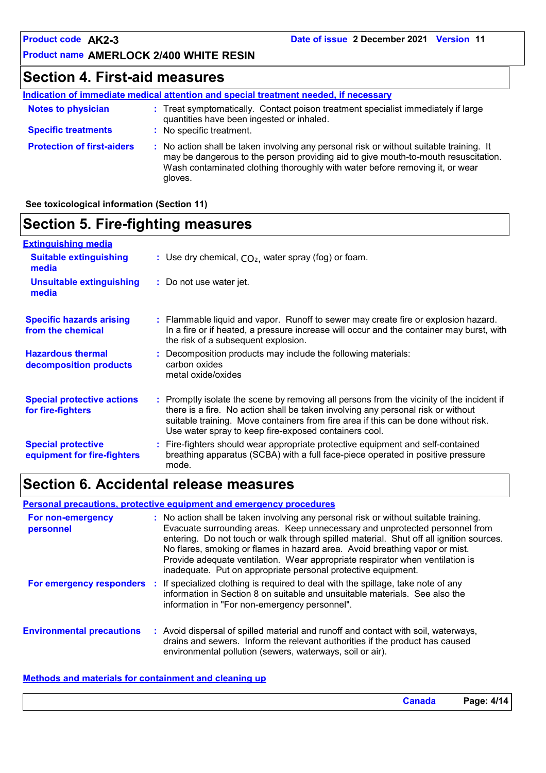### **Section 4. First-aid measures**

|                                   | Indication of immediate medical attention and special treatment needed, if necessary                                                                                                                                                                                     |
|-----------------------------------|--------------------------------------------------------------------------------------------------------------------------------------------------------------------------------------------------------------------------------------------------------------------------|
| <b>Notes to physician</b>         | : Treat symptomatically. Contact poison treatment specialist immediately if large<br>quantities have been ingested or inhaled.                                                                                                                                           |
| <b>Specific treatments</b>        | : No specific treatment.                                                                                                                                                                                                                                                 |
| <b>Protection of first-aiders</b> | : No action shall be taken involving any personal risk or without suitable training. It<br>may be dangerous to the person providing aid to give mouth-to-mouth resuscitation.<br>Wash contaminated clothing thoroughly with water before removing it, or wear<br>gloves. |

#### **See toxicological information (Section 11)**

### **Section 5. Fire-fighting measures**

| <b>Extinguishing media</b>                               |                                                                                                                                                                                                                                                                                                                               |
|----------------------------------------------------------|-------------------------------------------------------------------------------------------------------------------------------------------------------------------------------------------------------------------------------------------------------------------------------------------------------------------------------|
| <b>Suitable extinguishing</b><br>media                   | : Use dry chemical, $CO2$ , water spray (fog) or foam.                                                                                                                                                                                                                                                                        |
| <b>Unsuitable extinguishing</b><br>media                 | : Do not use water jet.                                                                                                                                                                                                                                                                                                       |
| <b>Specific hazards arising</b><br>from the chemical     | : Flammable liquid and vapor. Runoff to sewer may create fire or explosion hazard.<br>In a fire or if heated, a pressure increase will occur and the container may burst, with<br>the risk of a subsequent explosion.                                                                                                         |
| <b>Hazardous thermal</b><br>decomposition products       | : Decomposition products may include the following materials:<br>carbon oxides<br>metal oxide/oxides                                                                                                                                                                                                                          |
| <b>Special protective actions</b><br>for fire-fighters   | : Promptly isolate the scene by removing all persons from the vicinity of the incident if<br>there is a fire. No action shall be taken involving any personal risk or without<br>suitable training. Move containers from fire area if this can be done without risk.<br>Use water spray to keep fire-exposed containers cool. |
| <b>Special protective</b><br>equipment for fire-fighters | : Fire-fighters should wear appropriate protective equipment and self-contained<br>breathing apparatus (SCBA) with a full face-piece operated in positive pressure<br>mode.                                                                                                                                                   |

### **Section 6. Accidental release measures**

#### **Personal precautions, protective equipment and emergency procedures**

| For non-emergency<br>personnel   | : No action shall be taken involving any personal risk or without suitable training.<br>Evacuate surrounding areas. Keep unnecessary and unprotected personnel from<br>entering. Do not touch or walk through spilled material. Shut off all ignition sources.<br>No flares, smoking or flames in hazard area. Avoid breathing vapor or mist.<br>Provide adequate ventilation. Wear appropriate respirator when ventilation is<br>inadequate. Put on appropriate personal protective equipment. |
|----------------------------------|-------------------------------------------------------------------------------------------------------------------------------------------------------------------------------------------------------------------------------------------------------------------------------------------------------------------------------------------------------------------------------------------------------------------------------------------------------------------------------------------------|
|                                  | <b>For emergency responders</b> : If specialized clothing is required to deal with the spillage, take note of any<br>information in Section 8 on suitable and unsuitable materials. See also the<br>information in "For non-emergency personnel".                                                                                                                                                                                                                                               |
| <b>Environmental precautions</b> | : Avoid dispersal of spilled material and runoff and contact with soil, waterways,<br>drains and sewers. Inform the relevant authorities if the product has caused<br>environmental pollution (sewers, waterways, soil or air).                                                                                                                                                                                                                                                                 |

#### **Methods and materials for containment and cleaning up**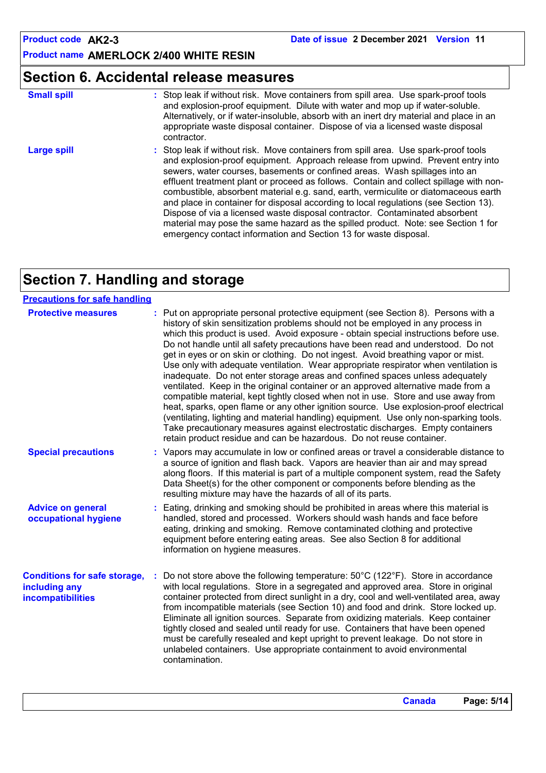### **Section 6. Accidental release measures**

| <b>Small spill</b> | : Stop leak if without risk. Move containers from spill area. Use spark-proof tools<br>and explosion-proof equipment. Dilute with water and mop up if water-soluble.<br>Alternatively, or if water-insoluble, absorb with an inert dry material and place in an<br>appropriate waste disposal container. Dispose of via a licensed waste disposal<br>contractor.                                                                                                                                                                                                                                                                                                                                                                                                      |
|--------------------|-----------------------------------------------------------------------------------------------------------------------------------------------------------------------------------------------------------------------------------------------------------------------------------------------------------------------------------------------------------------------------------------------------------------------------------------------------------------------------------------------------------------------------------------------------------------------------------------------------------------------------------------------------------------------------------------------------------------------------------------------------------------------|
| <b>Large spill</b> | : Stop leak if without risk. Move containers from spill area. Use spark-proof tools<br>and explosion-proof equipment. Approach release from upwind. Prevent entry into<br>sewers, water courses, basements or confined areas. Wash spillages into an<br>effluent treatment plant or proceed as follows. Contain and collect spillage with non-<br>combustible, absorbent material e.g. sand, earth, vermiculite or diatomaceous earth<br>and place in container for disposal according to local regulations (see Section 13).<br>Dispose of via a licensed waste disposal contractor. Contaminated absorbent<br>material may pose the same hazard as the spilled product. Note: see Section 1 for<br>emergency contact information and Section 13 for waste disposal. |

### **Section 7. Handling and storage**

| <b>Precautions for safe handling</b>                                      |                                                                                                                                                                                                                                                                                                                                                                                                                                                                                                                                                                                                                                                                                                                                                                                                                                                                                                                                                                                                                                                                                                                                     |
|---------------------------------------------------------------------------|-------------------------------------------------------------------------------------------------------------------------------------------------------------------------------------------------------------------------------------------------------------------------------------------------------------------------------------------------------------------------------------------------------------------------------------------------------------------------------------------------------------------------------------------------------------------------------------------------------------------------------------------------------------------------------------------------------------------------------------------------------------------------------------------------------------------------------------------------------------------------------------------------------------------------------------------------------------------------------------------------------------------------------------------------------------------------------------------------------------------------------------|
| <b>Protective measures</b>                                                | : Put on appropriate personal protective equipment (see Section 8). Persons with a<br>history of skin sensitization problems should not be employed in any process in<br>which this product is used. Avoid exposure - obtain special instructions before use.<br>Do not handle until all safety precautions have been read and understood. Do not<br>get in eyes or on skin or clothing. Do not ingest. Avoid breathing vapor or mist.<br>Use only with adequate ventilation. Wear appropriate respirator when ventilation is<br>inadequate. Do not enter storage areas and confined spaces unless adequately<br>ventilated. Keep in the original container or an approved alternative made from a<br>compatible material, kept tightly closed when not in use. Store and use away from<br>heat, sparks, open flame or any other ignition source. Use explosion-proof electrical<br>(ventilating, lighting and material handling) equipment. Use only non-sparking tools.<br>Take precautionary measures against electrostatic discharges. Empty containers<br>retain product residue and can be hazardous. Do not reuse container. |
| <b>Special precautions</b>                                                | : Vapors may accumulate in low or confined areas or travel a considerable distance to<br>a source of ignition and flash back. Vapors are heavier than air and may spread<br>along floors. If this material is part of a multiple component system, read the Safety<br>Data Sheet(s) for the other component or components before blending as the<br>resulting mixture may have the hazards of all of its parts.                                                                                                                                                                                                                                                                                                                                                                                                                                                                                                                                                                                                                                                                                                                     |
| <b>Advice on general</b><br>occupational hygiene                          | Eating, drinking and smoking should be prohibited in areas where this material is<br>handled, stored and processed. Workers should wash hands and face before<br>eating, drinking and smoking. Remove contaminated clothing and protective<br>equipment before entering eating areas. See also Section 8 for additional<br>information on hygiene measures.                                                                                                                                                                                                                                                                                                                                                                                                                                                                                                                                                                                                                                                                                                                                                                         |
| <b>Conditions for safe storage,</b><br>including any<br>incompatibilities | Do not store above the following temperature: 50°C (122°F). Store in accordance<br>with local regulations. Store in a segregated and approved area. Store in original<br>container protected from direct sunlight in a dry, cool and well-ventilated area, away<br>from incompatible materials (see Section 10) and food and drink. Store locked up.<br>Eliminate all ignition sources. Separate from oxidizing materials. Keep container<br>tightly closed and sealed until ready for use. Containers that have been opened<br>must be carefully resealed and kept upright to prevent leakage. Do not store in<br>unlabeled containers. Use appropriate containment to avoid environmental<br>contamination.                                                                                                                                                                                                                                                                                                                                                                                                                       |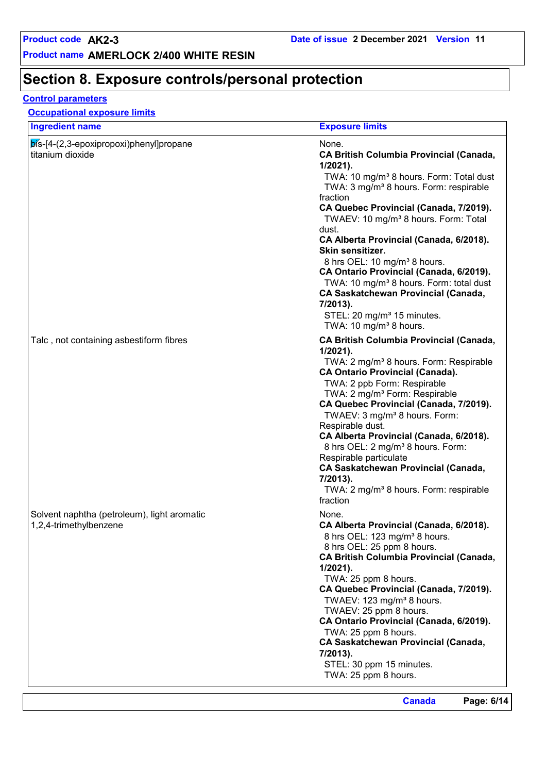### **Section 8. Exposure controls/personal protection**

#### **Control parameters**

| <b>Ingredient name</b>                                                  | <b>Exposure limits</b>                                                                                                                                                                                                                                                                                                                                                                                                                                                                                                                                                                                                                                 |
|-------------------------------------------------------------------------|--------------------------------------------------------------------------------------------------------------------------------------------------------------------------------------------------------------------------------------------------------------------------------------------------------------------------------------------------------------------------------------------------------------------------------------------------------------------------------------------------------------------------------------------------------------------------------------------------------------------------------------------------------|
| $\mathsf{b}$ ís-[4-(2,3-epoxipropoxi)phenyl]propane<br>titanium dioxide | None.<br><b>CA British Columbia Provincial (Canada,</b><br>$1/2021$ ).<br>TWA: 10 mg/m <sup>3</sup> 8 hours. Form: Total dust<br>TWA: 3 mg/m <sup>3</sup> 8 hours. Form: respirable<br>fraction<br>CA Quebec Provincial (Canada, 7/2019).<br>TWAEV: 10 mg/m <sup>3</sup> 8 hours. Form: Total<br>dust.<br>CA Alberta Provincial (Canada, 6/2018).<br>Skin sensitizer.<br>8 hrs OEL: 10 mg/m <sup>3</sup> 8 hours.<br>CA Ontario Provincial (Canada, 6/2019).<br>TWA: 10 mg/m <sup>3</sup> 8 hours. Form: total dust<br>CA Saskatchewan Provincial (Canada,<br>7/2013).<br>STEL: 20 mg/m <sup>3</sup> 15 minutes.<br>TWA: 10 mg/m <sup>3</sup> 8 hours. |
| Talc, not containing asbestiform fibres                                 | <b>CA British Columbia Provincial (Canada,</b><br>$1/2021$ ).<br>TWA: 2 mg/m <sup>3</sup> 8 hours. Form: Respirable<br><b>CA Ontario Provincial (Canada).</b><br>TWA: 2 ppb Form: Respirable<br>TWA: 2 mg/m <sup>3</sup> Form: Respirable<br>CA Quebec Provincial (Canada, 7/2019).<br>TWAEV: 3 mg/m <sup>3</sup> 8 hours. Form:<br>Respirable dust.<br>CA Alberta Provincial (Canada, 6/2018).<br>8 hrs OEL: 2 mg/m <sup>3</sup> 8 hours. Form:<br>Respirable particulate<br><b>CA Saskatchewan Provincial (Canada,</b><br>7/2013).<br>TWA: 2 mg/m <sup>3</sup> 8 hours. Form: respirable<br>fraction                                                 |
| Solvent naphtha (petroleum), light aromatic<br>1,2,4-trimethylbenzene   | None.<br>CA Alberta Provincial (Canada, 6/2018).<br>8 hrs OEL: 123 mg/m <sup>3</sup> 8 hours.<br>8 hrs OEL: 25 ppm 8 hours.<br><b>CA British Columbia Provincial (Canada,</b><br>$1/2021$ ).<br>TWA: 25 ppm 8 hours.<br>CA Quebec Provincial (Canada, 7/2019).<br>TWAEV: 123 mg/m <sup>3</sup> 8 hours.<br>TWAEV: 25 ppm 8 hours.<br>CA Ontario Provincial (Canada, 6/2019).<br>TWA: 25 ppm 8 hours.<br><b>CA Saskatchewan Provincial (Canada,</b><br>7/2013).<br>STEL: 30 ppm 15 minutes.<br>TWA: 25 ppm 8 hours.                                                                                                                                     |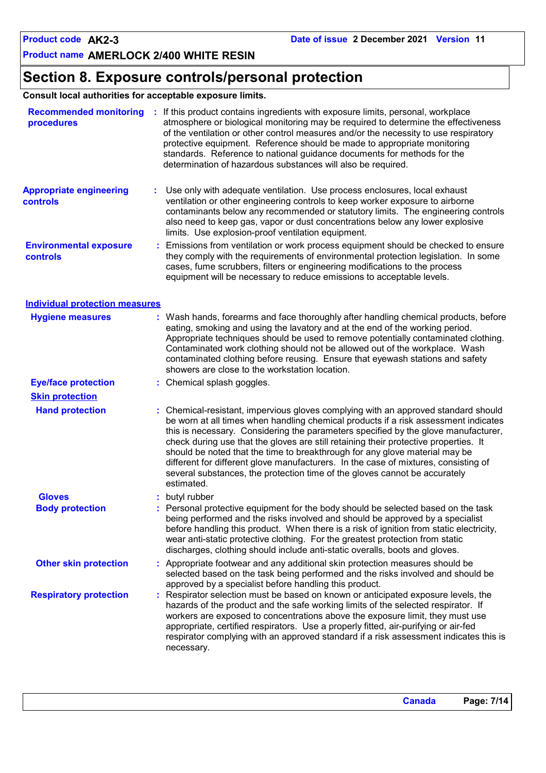### **Section 8. Exposure controls/personal protection**

**Consult local authorities for acceptable exposure limits.**

| <b>Recommended monitoring</b><br>procedures |    | : If this product contains ingredients with exposure limits, personal, workplace<br>atmosphere or biological monitoring may be required to determine the effectiveness<br>of the ventilation or other control measures and/or the necessity to use respiratory<br>protective equipment. Reference should be made to appropriate monitoring<br>standards. Reference to national guidance documents for methods for the<br>determination of hazardous substances will also be required.                                                                                                                                     |  |
|---------------------------------------------|----|---------------------------------------------------------------------------------------------------------------------------------------------------------------------------------------------------------------------------------------------------------------------------------------------------------------------------------------------------------------------------------------------------------------------------------------------------------------------------------------------------------------------------------------------------------------------------------------------------------------------------|--|
| <b>Appropriate engineering</b><br>controls  | ÷. | Use only with adequate ventilation. Use process enclosures, local exhaust<br>ventilation or other engineering controls to keep worker exposure to airborne<br>contaminants below any recommended or statutory limits. The engineering controls<br>also need to keep gas, vapor or dust concentrations below any lower explosive<br>limits. Use explosion-proof ventilation equipment.                                                                                                                                                                                                                                     |  |
| <b>Environmental exposure</b><br>controls   |    | Emissions from ventilation or work process equipment should be checked to ensure<br>they comply with the requirements of environmental protection legislation. In some<br>cases, fume scrubbers, filters or engineering modifications to the process<br>equipment will be necessary to reduce emissions to acceptable levels.                                                                                                                                                                                                                                                                                             |  |
| <b>Individual protection measures</b>       |    |                                                                                                                                                                                                                                                                                                                                                                                                                                                                                                                                                                                                                           |  |
| <b>Hygiene measures</b>                     |    | : Wash hands, forearms and face thoroughly after handling chemical products, before<br>eating, smoking and using the lavatory and at the end of the working period.<br>Appropriate techniques should be used to remove potentially contaminated clothing.<br>Contaminated work clothing should not be allowed out of the workplace. Wash<br>contaminated clothing before reusing. Ensure that eyewash stations and safety<br>showers are close to the workstation location.                                                                                                                                               |  |
| <b>Eye/face protection</b>                  |    | : Chemical splash goggles.                                                                                                                                                                                                                                                                                                                                                                                                                                                                                                                                                                                                |  |
| <b>Skin protection</b>                      |    |                                                                                                                                                                                                                                                                                                                                                                                                                                                                                                                                                                                                                           |  |
| <b>Hand protection</b>                      |    | : Chemical-resistant, impervious gloves complying with an approved standard should<br>be worn at all times when handling chemical products if a risk assessment indicates<br>this is necessary. Considering the parameters specified by the glove manufacturer,<br>check during use that the gloves are still retaining their protective properties. It<br>should be noted that the time to breakthrough for any glove material may be<br>different for different glove manufacturers. In the case of mixtures, consisting of<br>several substances, the protection time of the gloves cannot be accurately<br>estimated. |  |
| <b>Gloves</b><br><b>Body protection</b>     |    | butyl rubber<br>Personal protective equipment for the body should be selected based on the task<br>being performed and the risks involved and should be approved by a specialist<br>before handling this product. When there is a risk of ignition from static electricity,<br>wear anti-static protective clothing. For the greatest protection from static<br>discharges, clothing should include anti-static overalls, boots and gloves.                                                                                                                                                                               |  |
| <b>Other skin protection</b>                |    | : Appropriate footwear and any additional skin protection measures should be<br>selected based on the task being performed and the risks involved and should be<br>approved by a specialist before handling this product.                                                                                                                                                                                                                                                                                                                                                                                                 |  |
| <b>Respiratory protection</b>               |    | : Respirator selection must be based on known or anticipated exposure levels, the<br>hazards of the product and the safe working limits of the selected respirator. If<br>workers are exposed to concentrations above the exposure limit, they must use<br>appropriate, certified respirators. Use a properly fitted, air-purifying or air-fed<br>respirator complying with an approved standard if a risk assessment indicates this is<br>necessary.                                                                                                                                                                     |  |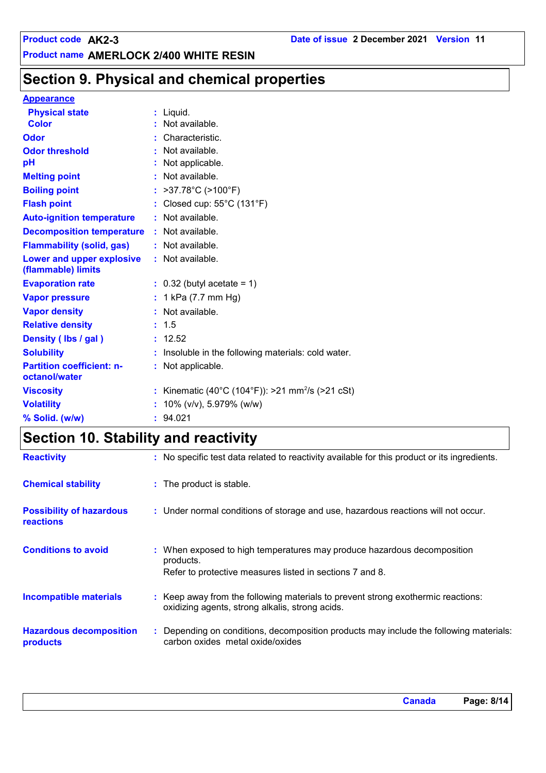### **Section 9. Physical and chemical properties**

#### **Appearance**

| <b>Physical state</b>                                  | $:$ Liquid.                                                |
|--------------------------------------------------------|------------------------------------------------------------|
| <b>Color</b>                                           | : Not available.                                           |
| <b>Odor</b>                                            | Characteristic.                                            |
| <b>Odor threshold</b>                                  | : Not available.                                           |
| pH                                                     | Not applicable.                                            |
| <b>Melting point</b>                                   | : Not available.                                           |
| <b>Boiling point</b>                                   | : $>37.78^{\circ}C$ ( $>100^{\circ}F$ )                    |
| <b>Flash point</b>                                     | : Closed cup: $55^{\circ}$ C (131 $^{\circ}$ F)            |
| <b>Auto-ignition temperature</b>                       | : Not available.                                           |
| <b>Decomposition temperature</b>                       | : Not available.                                           |
| <b>Flammability (solid, gas)</b>                       | : Not available.                                           |
| <b>Lower and upper explosive</b><br>(flammable) limits | : Not available.                                           |
| <b>Evaporation rate</b>                                | $\therefore$ 0.32 (butyl acetate = 1)                      |
| <b>Vapor pressure</b>                                  | : 1 kPa $(7.7 \text{ mm Hg})$                              |
| <b>Vapor density</b>                                   | : Not available.                                           |
| <b>Relative density</b>                                | : 1.5                                                      |
| Density (lbs / gal)                                    | : 12.52                                                    |
| <b>Solubility</b>                                      | Insoluble in the following materials: cold water.          |
| <b>Partition coefficient: n-</b><br>octanol/water      | : Not applicable.                                          |
| <b>Viscosity</b>                                       | Kinematic (40°C (104°F)): >21 mm <sup>2</sup> /s (>21 cSt) |
| <b>Volatility</b>                                      | 10% (v/v), 5.979% (w/w)                                    |
| % Solid. (w/w)                                         | : 94.021                                                   |

### **Section 10. Stability and reactivity**

| <b>Reactivity</b>                                   | : No specific test data related to reactivity available for this product or its ingredients.                                                     |
|-----------------------------------------------------|--------------------------------------------------------------------------------------------------------------------------------------------------|
| <b>Chemical stability</b>                           | : The product is stable.                                                                                                                         |
| <b>Possibility of hazardous</b><br><b>reactions</b> | : Under normal conditions of storage and use, hazardous reactions will not occur.                                                                |
| <b>Conditions to avoid</b>                          | : When exposed to high temperatures may produce hazardous decomposition<br>products.<br>Refer to protective measures listed in sections 7 and 8. |
| <b>Incompatible materials</b>                       | : Keep away from the following materials to prevent strong exothermic reactions:<br>oxidizing agents, strong alkalis, strong acids.              |
| <b>Hazardous decomposition</b><br>products          | : Depending on conditions, decomposition products may include the following materials:<br>carbon oxides metal oxide/oxides                       |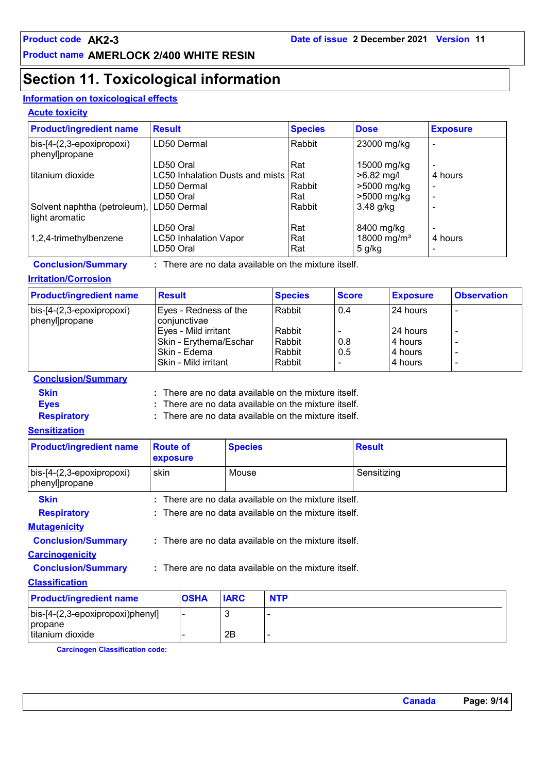### **Section 11. Toxicological information**

#### **Information on toxicological effects**

#### **Acute toxicity**

| <b>Product/ingredient name</b>              | <b>Result</b>                         | <b>Species</b> | <b>Dose</b>             | <b>Exposure</b> |
|---------------------------------------------|---------------------------------------|----------------|-------------------------|-----------------|
| bis-[4-(2,3-epoxipropoxi)<br>phenyl]propane | LD50 Dermal                           | Rabbit         | 23000 mg/kg             |                 |
|                                             | LD50 Oral                             | Rat            | 15000 mg/kg             |                 |
| I titanium dioxide                          | LC50 Inhalation Dusts and mists   Rat |                | $>6.82$ mg/l            | 4 hours         |
|                                             | LD50 Dermal                           | Rabbit         | >5000 mg/kg             | -               |
|                                             | LD50 Oral                             | Rat            | >5000 mg/kg             |                 |
| Solvent naphtha (petroleum),                | LD50 Dermal                           | Rabbit         | $3.48$ g/kg             |                 |
| light aromatic                              |                                       |                |                         |                 |
|                                             | LD50 Oral                             | Rat            | 8400 mg/kg              |                 |
| 1,2,4-trimethylbenzene                      | <b>LC50 Inhalation Vapor</b>          | Rat            | 18000 mg/m <sup>3</sup> | 4 hours         |
|                                             | LD50 Oral                             | Rat            | $5$ g/kg                |                 |

**Conclusion/Summary :** : There are no data available on the mixture itself.

#### **Irritation/Corrosion**

| <b>Product/ingredient name</b>              | <b>Result</b>                         | <b>Species</b> | <b>Score</b> | <b>Exposure</b> | <b>Observation</b>       |
|---------------------------------------------|---------------------------------------|----------------|--------------|-----------------|--------------------------|
| bis-[4-(2,3-epoxipropoxi)<br>phenyl]propane | Eyes - Redness of the<br>conjunctivae | Rabbit         | 0.4          | 24 hours        | $\,$ $\,$                |
|                                             | Eyes - Mild irritant                  | Rabbit         |              | 24 hours        |                          |
|                                             | Skin - Erythema/Eschar                | Rabbit         | 0.8          | 4 hours         |                          |
|                                             | ⊦Skin - Edema                         | Rabbit         | 0.5          | 4 hours         |                          |
|                                             | Skin - Mild irritant                  | Rabbit         |              | 4 hours         | $\overline{\phantom{a}}$ |

#### **Conclusion/Summary**

| : There are no data available on the mixture itself. |
|------------------------------------------------------|
|------------------------------------------------------|

**Skin :**

**Eyes :** There are no data available on the mixture itself.

: There are no data available on the mixture itself.

#### **Sensitization**

**Respiratory :**

| <b>Product/ingredient name</b>              | <b>Route of</b><br>exposure |                                                        | <b>Species</b> |                                                        | <b>Result</b> |  |  |
|---------------------------------------------|-----------------------------|--------------------------------------------------------|----------------|--------------------------------------------------------|---------------|--|--|
| bis-[4-(2,3-epoxipropoxi)<br>phenyl]propane | skin                        |                                                        | Mouse          |                                                        | Sensitizing   |  |  |
| <b>Skin</b>                                 |                             |                                                        |                | $:$ There are no data available on the mixture itself. |               |  |  |
| <b>Respiratory</b>                          |                             |                                                        |                | $:$ There are no data available on the mixture itself. |               |  |  |
| <b>Mutagenicity</b>                         |                             |                                                        |                |                                                        |               |  |  |
| <b>Conclusion/Summary</b>                   |                             | $:$ There are no data available on the mixture itself. |                |                                                        |               |  |  |
| <b>Carcinogenicity</b>                      |                             |                                                        |                |                                                        |               |  |  |
| <b>Conclusion/Summary</b>                   |                             | : There are no data available on the mixture itself.   |                |                                                        |               |  |  |
| <b>Classification</b>                       |                             |                                                        |                |                                                        |               |  |  |
| <b>Product/ingredient name</b>              |                             | <b>OSHA</b>                                            | <b>IARC</b>    | <b>NTP</b>                                             |               |  |  |
| bis-[4-(2,3-epoxipropoxi)phenyl]<br>propane |                             |                                                        | 3              | $\blacksquare$                                         |               |  |  |
| titanium dioxide                            |                             |                                                        | 2Β             | $\overline{\phantom{a}}$                               |               |  |  |

**Carcinogen Classification code:**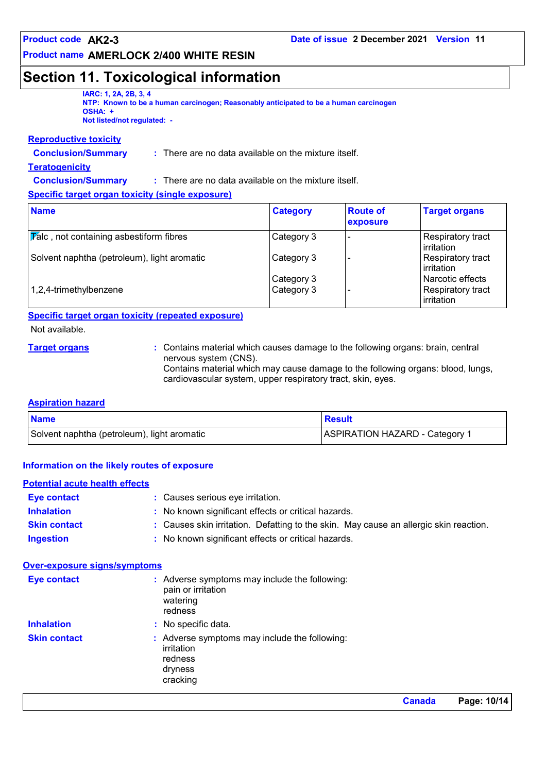### **Section 11. Toxicological information**

| <b>IARC: 1, 2A, 2B, 3, 4</b><br>NTP: Known to be a human carcinogen; Reasonably anticipated to be a human carcinogen |  |
|----------------------------------------------------------------------------------------------------------------------|--|
| OSHA: +                                                                                                              |  |
| Not listed/not requiated: -                                                                                          |  |

#### **Reproductive toxicity**

**Conclusion/Summary :**

**Conclusion/Summary :**

: There are no data available on the mixture itself.

#### **Teratogenicity**

There are no data available on the mixture itself.

#### **Specific target organ toxicity (single exposure)**

| <b>Name</b>                                            | <b>Category</b>          | <b>Route of</b><br>exposure | <b>Target organs</b>                                |
|--------------------------------------------------------|--------------------------|-----------------------------|-----------------------------------------------------|
| $ \overline{V}$ alc, not containing asbestiform fibres | Category 3               |                             | Respiratory tract<br>l irritation                   |
| Solvent naphtha (petroleum), light aromatic            | Category 3               |                             | Respiratory tract<br>irritation                     |
| 1,2,4-trimethylbenzene                                 | Category 3<br>Category 3 |                             | Narcotic effects<br>Respiratory tract<br>irritation |

#### **Specific target organ toxicity (repeated exposure)**

Not available.

**Target organs :** Contains material which causes damage to the following organs: brain, central nervous system (CNS).

Contains material which may cause damage to the following organs: blood, lungs, cardiovascular system, upper respiratory tract, skin, eyes.

#### **Aspiration hazard**

| <b>Name</b>                                 | <b>Result</b>                  |
|---------------------------------------------|--------------------------------|
| Solvent naphtha (petroleum), light aromatic | ASPIRATION HAZARD - Category 1 |

#### **Information on the likely routes of exposure**

#### **Potential acute health effects**

| <b>Eve contact</b>  | : Causes serious eye irritation.                                                      |
|---------------------|---------------------------------------------------------------------------------------|
| <b>Inhalation</b>   | : No known significant effects or critical hazards.                                   |
| <b>Skin contact</b> | : Causes skin irritation. Defatting to the skin. May cause an allergic skin reaction. |
| <b>Ingestion</b>    | No known significant effects or critical hazards.                                     |

#### **Over-exposure signs/symptoms**

| <b>Eye contact</b>  | : Adverse symptoms may include the following:<br>pain or irritation<br>watering<br>redness    |
|---------------------|-----------------------------------------------------------------------------------------------|
| <b>Inhalation</b>   | : No specific data.                                                                           |
| <b>Skin contact</b> | : Adverse symptoms may include the following:<br>irritation<br>redness<br>dryness<br>cracking |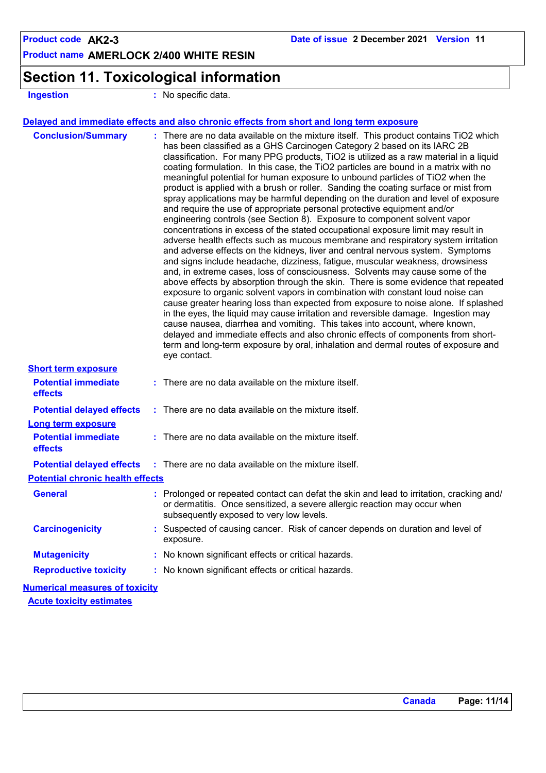### **Section 11. Toxicological information**

**Ingestion :** No specific data.

#### **Delayed and immediate effects and also chronic effects from short and long term exposure**

| <b>Conclusion/Summary</b>               | : There are no data available on the mixture itself. This product contains TiO2 which<br>has been classified as a GHS Carcinogen Category 2 based on its IARC 2B<br>classification. For many PPG products, TiO2 is utilized as a raw material in a liquid<br>coating formulation. In this case, the TiO2 particles are bound in a matrix with no<br>meaningful potential for human exposure to unbound particles of TiO2 when the<br>product is applied with a brush or roller. Sanding the coating surface or mist from<br>spray applications may be harmful depending on the duration and level of exposure<br>and require the use of appropriate personal protective equipment and/or<br>engineering controls (see Section 8). Exposure to component solvent vapor<br>concentrations in excess of the stated occupational exposure limit may result in<br>adverse health effects such as mucous membrane and respiratory system irritation<br>and adverse effects on the kidneys, liver and central nervous system. Symptoms<br>and signs include headache, dizziness, fatigue, muscular weakness, drowsiness<br>and, in extreme cases, loss of consciousness. Solvents may cause some of the<br>above effects by absorption through the skin. There is some evidence that repeated<br>exposure to organic solvent vapors in combination with constant loud noise can<br>cause greater hearing loss than expected from exposure to noise alone. If splashed<br>in the eyes, the liquid may cause irritation and reversible damage. Ingestion may<br>cause nausea, diarrhea and vomiting. This takes into account, where known,<br>delayed and immediate effects and also chronic effects of components from short-<br>term and long-term exposure by oral, inhalation and dermal routes of exposure and<br>eye contact. |
|-----------------------------------------|----------------------------------------------------------------------------------------------------------------------------------------------------------------------------------------------------------------------------------------------------------------------------------------------------------------------------------------------------------------------------------------------------------------------------------------------------------------------------------------------------------------------------------------------------------------------------------------------------------------------------------------------------------------------------------------------------------------------------------------------------------------------------------------------------------------------------------------------------------------------------------------------------------------------------------------------------------------------------------------------------------------------------------------------------------------------------------------------------------------------------------------------------------------------------------------------------------------------------------------------------------------------------------------------------------------------------------------------------------------------------------------------------------------------------------------------------------------------------------------------------------------------------------------------------------------------------------------------------------------------------------------------------------------------------------------------------------------------------------------------------------------------------------------------------------------------------|
| <b>Short term exposure</b>              |                                                                                                                                                                                                                                                                                                                                                                                                                                                                                                                                                                                                                                                                                                                                                                                                                                                                                                                                                                                                                                                                                                                                                                                                                                                                                                                                                                                                                                                                                                                                                                                                                                                                                                                                                                                                                            |
| <b>Potential immediate</b><br>effects   | $:$ There are no data available on the mixture itself.                                                                                                                                                                                                                                                                                                                                                                                                                                                                                                                                                                                                                                                                                                                                                                                                                                                                                                                                                                                                                                                                                                                                                                                                                                                                                                                                                                                                                                                                                                                                                                                                                                                                                                                                                                     |
| <b>Potential delayed effects</b>        | $:$ There are no data available on the mixture itself.                                                                                                                                                                                                                                                                                                                                                                                                                                                                                                                                                                                                                                                                                                                                                                                                                                                                                                                                                                                                                                                                                                                                                                                                                                                                                                                                                                                                                                                                                                                                                                                                                                                                                                                                                                     |
| <b>Long term exposure</b>               |                                                                                                                                                                                                                                                                                                                                                                                                                                                                                                                                                                                                                                                                                                                                                                                                                                                                                                                                                                                                                                                                                                                                                                                                                                                                                                                                                                                                                                                                                                                                                                                                                                                                                                                                                                                                                            |
| <b>Potential immediate</b><br>effects   | $:$ There are no data available on the mixture itself.                                                                                                                                                                                                                                                                                                                                                                                                                                                                                                                                                                                                                                                                                                                                                                                                                                                                                                                                                                                                                                                                                                                                                                                                                                                                                                                                                                                                                                                                                                                                                                                                                                                                                                                                                                     |
| <b>Potential delayed effects</b>        | : There are no data available on the mixture itself.                                                                                                                                                                                                                                                                                                                                                                                                                                                                                                                                                                                                                                                                                                                                                                                                                                                                                                                                                                                                                                                                                                                                                                                                                                                                                                                                                                                                                                                                                                                                                                                                                                                                                                                                                                       |
| <b>Potential chronic health effects</b> |                                                                                                                                                                                                                                                                                                                                                                                                                                                                                                                                                                                                                                                                                                                                                                                                                                                                                                                                                                                                                                                                                                                                                                                                                                                                                                                                                                                                                                                                                                                                                                                                                                                                                                                                                                                                                            |
| <b>General</b>                          | : Prolonged or repeated contact can defat the skin and lead to irritation, cracking and/<br>or dermatitis. Once sensitized, a severe allergic reaction may occur when<br>subsequently exposed to very low levels.                                                                                                                                                                                                                                                                                                                                                                                                                                                                                                                                                                                                                                                                                                                                                                                                                                                                                                                                                                                                                                                                                                                                                                                                                                                                                                                                                                                                                                                                                                                                                                                                          |
| <b>Carcinogenicity</b>                  | : Suspected of causing cancer. Risk of cancer depends on duration and level of<br>exposure.                                                                                                                                                                                                                                                                                                                                                                                                                                                                                                                                                                                                                                                                                                                                                                                                                                                                                                                                                                                                                                                                                                                                                                                                                                                                                                                                                                                                                                                                                                                                                                                                                                                                                                                                |
| <b>Mutagenicity</b>                     | : No known significant effects or critical hazards.                                                                                                                                                                                                                                                                                                                                                                                                                                                                                                                                                                                                                                                                                                                                                                                                                                                                                                                                                                                                                                                                                                                                                                                                                                                                                                                                                                                                                                                                                                                                                                                                                                                                                                                                                                        |
| <b>Reproductive toxicity</b>            | : No known significant effects or critical hazards.                                                                                                                                                                                                                                                                                                                                                                                                                                                                                                                                                                                                                                                                                                                                                                                                                                                                                                                                                                                                                                                                                                                                                                                                                                                                                                                                                                                                                                                                                                                                                                                                                                                                                                                                                                        |
| <b>Numerical measures of toxicity</b>   |                                                                                                                                                                                                                                                                                                                                                                                                                                                                                                                                                                                                                                                                                                                                                                                                                                                                                                                                                                                                                                                                                                                                                                                                                                                                                                                                                                                                                                                                                                                                                                                                                                                                                                                                                                                                                            |
| <b>Acute toxicity estimates</b>         |                                                                                                                                                                                                                                                                                                                                                                                                                                                                                                                                                                                                                                                                                                                                                                                                                                                                                                                                                                                                                                                                                                                                                                                                                                                                                                                                                                                                                                                                                                                                                                                                                                                                                                                                                                                                                            |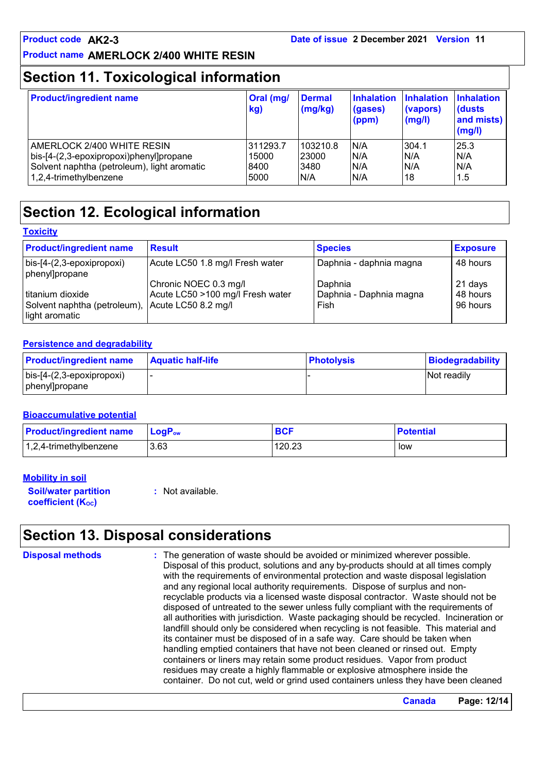### **Section 11. Toxicological information**

| <b>Product/ingredient name</b>              | Oral (mg/<br>kg) | <b>Dermal</b><br>(mg/kg) | <b>Inhalation</b><br>(gases)<br>(ppm) | Inhalation<br>(vapors)<br>(mg/l) | <b>Inhalation</b><br>dusts)<br>and mists)<br>(mg/l) |
|---------------------------------------------|------------------|--------------------------|---------------------------------------|----------------------------------|-----------------------------------------------------|
| AMERLOCK 2/400 WHITE RESIN                  | 311293.7         | 103210.8                 | N/A                                   | 304.1                            | 25.3                                                |
| bis-[4-(2,3-epoxipropoxi)phenyl]propane     | 15000            | 23000                    | N/A                                   | N/A                              | N/A                                                 |
| Solvent naphtha (petroleum), light aromatic | 8400             | 3480                     | N/A                                   | N/A                              | N/A                                                 |
| 1,2,4-trimethylbenzene                      | 5000             | N/A                      | N/A                                   | 18                               | 1.5                                                 |

### **Section 12. Ecological information**

| Toxicitv |  |
|----------|--|
|          |  |

| <b>Product/ingredient name</b>                                                         | <b>Result</b>                    | <b>Species</b>                  | <b>Exposure</b>      |
|----------------------------------------------------------------------------------------|----------------------------------|---------------------------------|----------------------|
| $\vert$ bis-[4-(2,3-epoxipropoxi)<br>phenyl]propane                                    | Acute LC50 1.8 mg/l Fresh water  | Daphnia - daphnia magna         | 48 hours             |
|                                                                                        | Chronic NOEC 0.3 mg/l            | Daphnia                         | 21 days              |
| titanium dioxide<br>Solvent naphtha (petroleum), Acute LC50 8.2 mg/l<br>Iight aromatic | Acute LC50 >100 mg/l Fresh water | Daphnia - Daphnia magna<br>Fish | 48 hours<br>96 hours |

#### **Persistence and degradability**

| <b>Product/ingredient name</b>    | <b>Aquatic half-life</b> | <b>Photolysis</b> | Biodegradability   |
|-----------------------------------|--------------------------|-------------------|--------------------|
| $\vert$ bis-[4-(2,3-epoxipropoxi) |                          |                   | <b>Not readily</b> |
| phenyl]propane                    |                          |                   |                    |

#### **Bioaccumulative potential**

| <b>Product/ingredient name</b> | <b>LogP</b> <sub>ow</sub> | <b>BCF</b> | <b>Potential</b> |
|--------------------------------|---------------------------|------------|------------------|
| $ 1,2,4$ -trimethylbenzene     | 3.63                      | 120.23     | low              |

#### **Mobility in soil**

**Soil/water partition coefficient (Koc)** 

**:** Not available.

### **Section 13. Disposal considerations**

**Disposal methods :**

The generation of waste should be avoided or minimized wherever possible. Disposal of this product, solutions and any by-products should at all times comply with the requirements of environmental protection and waste disposal legislation and any regional local authority requirements. Dispose of surplus and nonrecyclable products via a licensed waste disposal contractor. Waste should not be disposed of untreated to the sewer unless fully compliant with the requirements of all authorities with jurisdiction. Waste packaging should be recycled. Incineration or landfill should only be considered when recycling is not feasible. This material and its container must be disposed of in a safe way. Care should be taken when handling emptied containers that have not been cleaned or rinsed out. Empty containers or liners may retain some product residues. Vapor from product residues may create a highly flammable or explosive atmosphere inside the container. Do not cut, weld or grind used containers unless they have been cleaned

**Canada Page: 12/14**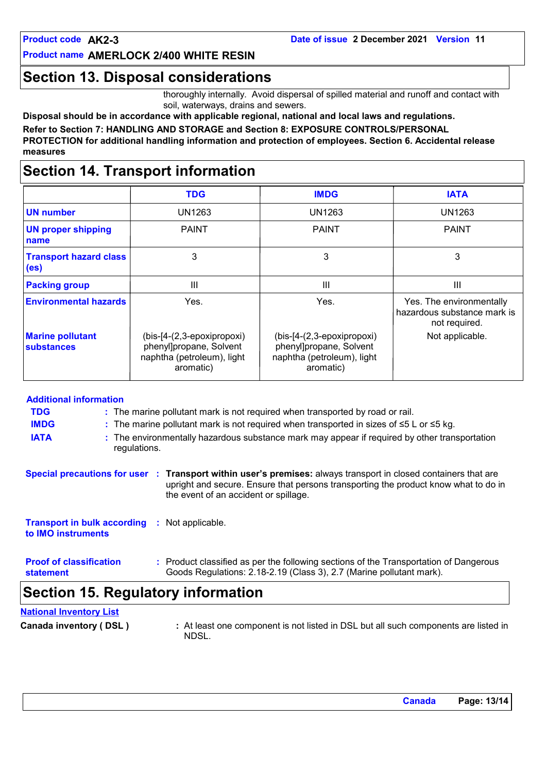### **Section 13. Disposal considerations**

thoroughly internally. Avoid dispersal of spilled material and runoff and contact with soil, waterways, drains and sewers.

**Disposal should be in accordance with applicable regional, national and local laws and regulations.**

**Refer to Section 7: HANDLING AND STORAGE and Section 8: EXPOSURE CONTROLS/PERSONAL PROTECTION for additional handling information and protection of employees. Section 6. Accidental release measures**

### **Section 14. Transport information**

|                                                    | <b>TDG</b>                                                                                       | <b>IMDG</b>                                                                                      | <b>IATA</b>                                                              |
|----------------------------------------------------|--------------------------------------------------------------------------------------------------|--------------------------------------------------------------------------------------------------|--------------------------------------------------------------------------|
| <b>UN number</b>                                   | UN1263                                                                                           | UN1263                                                                                           | UN1263                                                                   |
| <b>UN proper shipping</b><br>name                  | <b>PAINT</b>                                                                                     | <b>PAINT</b>                                                                                     | <b>PAINT</b>                                                             |
| <b>Transport hazard class</b><br>(e <sub>s</sub> ) | 3                                                                                                | 3                                                                                                | 3                                                                        |
| <b>Packing group</b>                               | Ш                                                                                                | Ш                                                                                                | Ш                                                                        |
| <b>Environmental hazards</b>                       | Yes.                                                                                             | Yes.                                                                                             | Yes. The environmentally<br>hazardous substance mark is<br>not required. |
| <b>Marine pollutant</b><br>substances              | (bis-[4-(2,3-epoxipropoxi)<br>phenyl]propane, Solvent<br>naphtha (petroleum), light<br>aromatic) | (bis-[4-(2,3-epoxipropoxi)<br>phenyl]propane, Solvent<br>naphtha (petroleum), light<br>aromatic) | Not applicable.                                                          |

| <b>Additional information</b>                                              |                                                                                                     |                                                                                                               |                                                                                                                                                                                                                                                 |  |  |
|----------------------------------------------------------------------------|-----------------------------------------------------------------------------------------------------|---------------------------------------------------------------------------------------------------------------|-------------------------------------------------------------------------------------------------------------------------------------------------------------------------------------------------------------------------------------------------|--|--|
| <b>TDG</b>                                                                 | : The marine pollutant mark is not required when transported by road or rail.                       |                                                                                                               |                                                                                                                                                                                                                                                 |  |  |
| <b>IMDG</b>                                                                | : The marine pollutant mark is not required when transported in sizes of $\leq 5$ L or $\leq 5$ kg. |                                                                                                               |                                                                                                                                                                                                                                                 |  |  |
| <b>IATA</b>                                                                |                                                                                                     | : The environmentally hazardous substance mark may appear if required by other transportation<br>regulations. |                                                                                                                                                                                                                                                 |  |  |
|                                                                            |                                                                                                     |                                                                                                               | Special precautions for user : Transport within user's premises: always transport in closed containers that are<br>upright and secure. Ensure that persons transporting the product know what to do in<br>the event of an accident or spillage. |  |  |
| <b>Transport in bulk according : Not applicable.</b><br>to IMO instruments |                                                                                                     |                                                                                                               |                                                                                                                                                                                                                                                 |  |  |
| <b>Proof of classification</b><br>statement                                |                                                                                                     |                                                                                                               | : Product classified as per the following sections of the Transportation of Dangerous<br>Goods Regulations: 2.18-2.19 (Class 3), 2.7 (Marine pollutant mark).                                                                                   |  |  |
|                                                                            |                                                                                                     |                                                                                                               | Section 15. Regulatory information                                                                                                                                                                                                              |  |  |

#### **National Inventory List**

|  | Canada inventory (DSL) |  |
|--|------------------------|--|
|--|------------------------|--|

**Canada invertory (**  $\Delta$  **<b>EXECUTE:** At least one components are listed in NDSL.